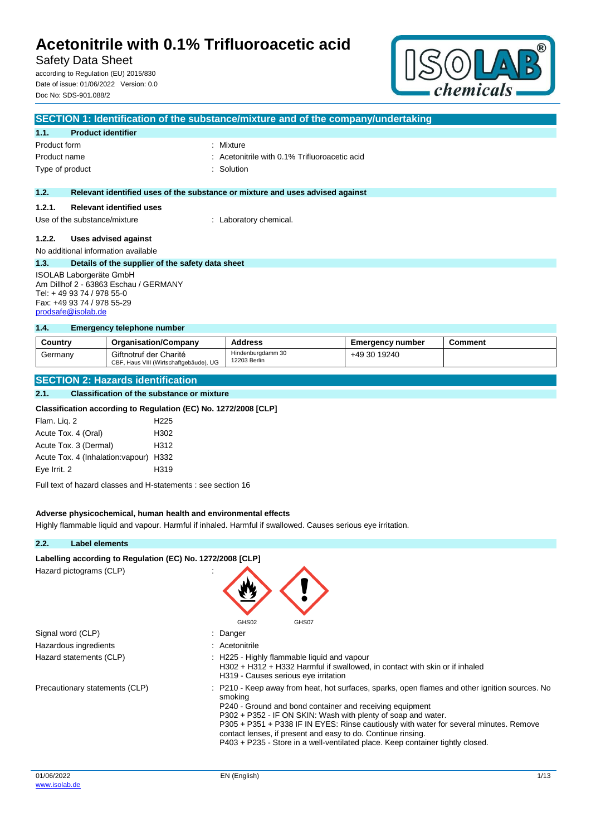# Safety Data Sheet

according to Regulation (EU) 2015/830 Date of issue: 01/06/2022 Version: 0.0 Doc No: SDS-901.088/2



| SECTION 1: Identification of the substance/mixture and of the company/undertaking |  |  |  |
|-----------------------------------------------------------------------------------|--|--|--|
|                                                                                   |  |  |  |
| : Mixture                                                                         |  |  |  |
| $\therefore$ Acetonitrile with 0.1% Trifluoroacetic acid                          |  |  |  |
| : Solution                                                                        |  |  |  |
|                                                                                   |  |  |  |
| Relevant identified uses of the substance or mixture and uses advised against     |  |  |  |
|                                                                                   |  |  |  |
| : Laboratory chemical.                                                            |  |  |  |
|                                                                                   |  |  |  |
|                                                                                   |  |  |  |
| Details of the supplier of the safety data sheet                                  |  |  |  |
| ISOLAB Laborgeräte GmbH                                                           |  |  |  |
| Am Dillhof 2 - 63863 Eschau / GERMANY                                             |  |  |  |
| Tel: +49 93 74 / 978 55-0<br>Fax: +49 93 74 / 978 55-29                           |  |  |  |
|                                                                                   |  |  |  |

#### **1.4. Emergency telephone number**

[prodsafe@isolab.de](mailto:prodsafe@isolab.de)

| Country | <b>Organisation/Company</b>                                      | <b>Address</b>                    | <b>Emergency number</b> | Comment |
|---------|------------------------------------------------------------------|-----------------------------------|-------------------------|---------|
| Germany | Giftnotruf der Charité<br>CBF, Haus VIII (Wirtschaftgebäude), UG | Hindenburadamm 30<br>12203 Berlin | +49 30 19240            |         |

#### **SECTION 2: Hazards identification**

#### **2.1. Classification of the substance or mixture**

#### **Classification according to Regulation (EC) No. 1272/2008 [CLP]**

| H <sub>225</sub>                       |
|----------------------------------------|
| H <sub>302</sub>                       |
| H312                                   |
| Acute Tox. 4 (Inhalation: vapour) H332 |
| H <sub>319</sub>                       |
|                                        |

Full text of hazard classes and H-statements : see section 16

#### **Adverse physicochemical, human health and environmental effects**

Highly flammable liquid and vapour. Harmful if inhaled. Harmful if swallowed. Causes serious eye irritation.

#### **2.2. Label elements**

### Labelling according to Regulation (EC) No. 1272/2008 [CLP]

Hazard pictograms (CLP) :

Signal word (CLP) : Danger Hazardous ingredients in the state of the state of the Hazardous ingredients



- 
- 

Hazard statements (CLP) : H225 - Highly flammable liquid and vapour

- H302 + H312 + H332 Harmful if swallowed, in contact with skin or if inhaled H319 - Causes serious eye irritation
- Precautionary statements (CLP) : P210 Keep away from heat, hot surfaces, sparks, open flames and other ignition sources. No smoking
	- P240 Ground and bond container and receiving equipment
	- P302 + P352 IF ON SKIN: Wash with plenty of soap and water.
	- P305 + P351 + P338 IF IN EYES: Rinse cautiously with water for several minutes. Remove
	- contact lenses, if present and easy to do. Continue rinsing. P403 + P235 - Store in a well-ventilated place. Keep container tightly closed.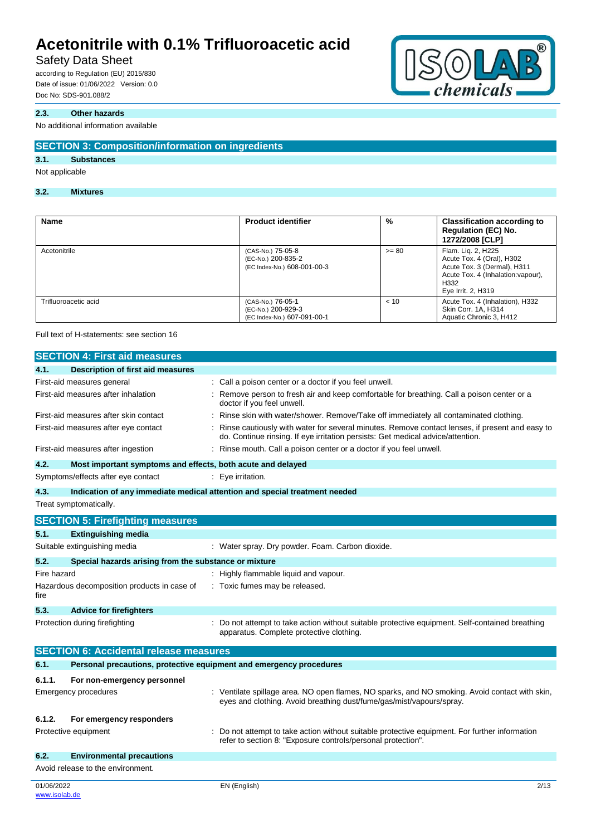# Safety Data Sheet

according to Regulation (EU) 2015/830 Date of issue: 01/06/2022 Version: 0.0 Doc No: SDS-901.088/2

### **2.3. Other hazards**

#### No additional information available

### **SECTION 3: Composition/information on ingredients**

### **3.1. Substances**

### Not applicable

#### **3.2. Mixtures**

| Name                 | <b>Product identifier</b>                                              | %       | <b>Classification according to</b><br><b>Regulation (EC) No.</b><br>1272/2008 [CLP]                                                                |
|----------------------|------------------------------------------------------------------------|---------|----------------------------------------------------------------------------------------------------------------------------------------------------|
| Acetonitrile         | (CAS-No.) 75-05-8<br>(EC-No.) 200-835-2<br>(EC Index-No.) 608-001-00-3 | $>= 80$ | Flam. Lig. 2, H225<br>Acute Tox. 4 (Oral), H302<br>Acute Tox. 3 (Dermal), H311<br>Acute Tox. 4 (Inhalation: vapour),<br>H332<br>Eye Irrit. 2, H319 |
| Trifluoroacetic acid | (CAS-No.) 76-05-1<br>(EC-No.) 200-929-3<br>(EC Index-No.) 607-091-00-1 | < 10    | Acute Tox. 4 (Inhalation), H332<br>Skin Corr. 1A, H314<br>Aquatic Chronic 3, H412                                                                  |

Full text of H-statements: see section 16

|             | <b>SECTION 4: First aid measures</b>                                |                                                                                                                                                                                   |
|-------------|---------------------------------------------------------------------|-----------------------------------------------------------------------------------------------------------------------------------------------------------------------------------|
| 4.1.        | <b>Description of first aid measures</b>                            |                                                                                                                                                                                   |
|             | First-aid measures general                                          | : Call a poison center or a doctor if you feel unwell.                                                                                                                            |
|             | First-aid measures after inhalation                                 | Remove person to fresh air and keep comfortable for breathing. Call a poison center or a<br>doctor if you feel unwell.                                                            |
|             | First-aid measures after skin contact                               | : Rinse skin with water/shower. Remove/Take off immediately all contaminated clothing.                                                                                            |
|             | First-aid measures after eye contact                                | Rinse cautiously with water for several minutes. Remove contact lenses, if present and easy to<br>do. Continue rinsing. If eye irritation persists: Get medical advice/attention. |
|             | First-aid measures after ingestion                                  | Rinse mouth. Call a poison center or a doctor if you feel unwell.                                                                                                                 |
| 4.2.        | Most important symptoms and effects, both acute and delayed         |                                                                                                                                                                                   |
|             | Symptoms/effects after eye contact                                  | : Eye irritation.                                                                                                                                                                 |
| 4.3.        |                                                                     | Indication of any immediate medical attention and special treatment needed                                                                                                        |
|             | Treat symptomatically.                                              |                                                                                                                                                                                   |
|             | <b>SECTION 5: Firefighting measures</b>                             |                                                                                                                                                                                   |
| 5.1.        | <b>Extinguishing media</b>                                          |                                                                                                                                                                                   |
|             | Suitable extinguishing media                                        | : Water spray. Dry powder. Foam. Carbon dioxide.                                                                                                                                  |
| 5.2.        | Special hazards arising from the substance or mixture               |                                                                                                                                                                                   |
| Fire hazard |                                                                     | : Highly flammable liquid and vapour.                                                                                                                                             |
| fire        | Hazardous decomposition products in case of                         | : Toxic fumes may be released.                                                                                                                                                    |
| 5.3.        | <b>Advice for firefighters</b>                                      |                                                                                                                                                                                   |
|             | Protection during firefighting                                      | Do not attempt to take action without suitable protective equipment. Self-contained breathing<br>apparatus. Complete protective clothing.                                         |
|             | <b>SECTION 6: Accidental release measures</b>                       |                                                                                                                                                                                   |
| 6.1.        | Personal precautions, protective equipment and emergency procedures |                                                                                                                                                                                   |
| 6.1.1.      | For non-emergency personnel                                         |                                                                                                                                                                                   |
|             | <b>Emergency procedures</b>                                         | : Ventilate spillage area. NO open flames, NO sparks, and NO smoking. Avoid contact with skin,<br>eyes and clothing. Avoid breathing dust/fume/gas/mist/vapours/spray.            |
| 6.1.2.      | For emergency responders                                            |                                                                                                                                                                                   |
|             | Protective equipment                                                | Do not attempt to take action without suitable protective equipment. For further information<br>refer to section 8: "Exposure controls/personal protection".                      |
| 6.2.        | <b>Environmental precautions</b>                                    |                                                                                                                                                                                   |
|             | Avoid release to the environment.                                   |                                                                                                                                                                                   |
| 01/06/2022  |                                                                     | 2/13<br>EN (English)                                                                                                                                                              |



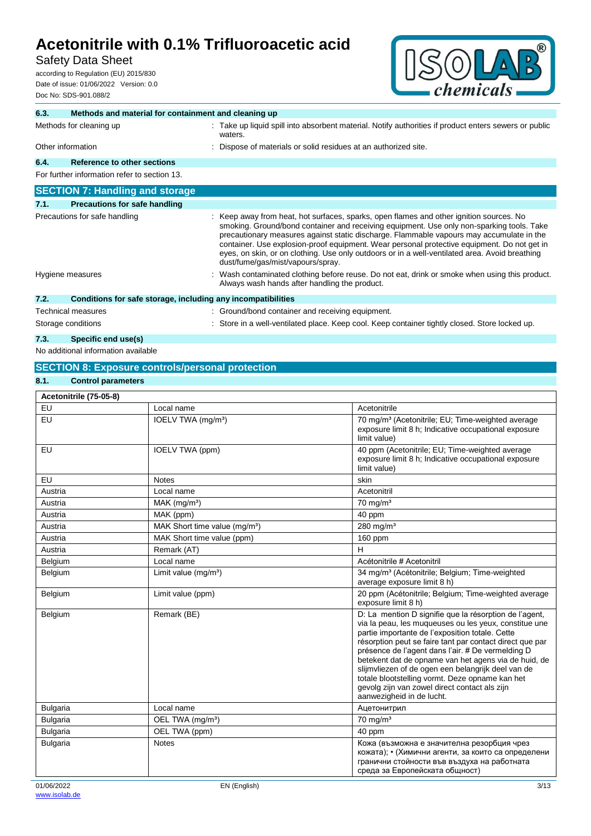# Safety Data Sheet

according to Regulation (EU) 2015/830 Date of issue: 01/06/2022 Version: 0.0 Doc No: SDS-901.088/2



| 6.3. | Methods and material for containment and cleaning up         |  |                                                                                                                                                                                                                                                                                                                                                                                                                                                                                                                        |  |
|------|--------------------------------------------------------------|--|------------------------------------------------------------------------------------------------------------------------------------------------------------------------------------------------------------------------------------------------------------------------------------------------------------------------------------------------------------------------------------------------------------------------------------------------------------------------------------------------------------------------|--|
|      | Methods for cleaning up                                      |  | : Take up liquid spill into absorbent material. Notify authorities if product enters sewers or public<br>waters.                                                                                                                                                                                                                                                                                                                                                                                                       |  |
|      | Other information                                            |  | : Dispose of materials or solid residues at an authorized site.                                                                                                                                                                                                                                                                                                                                                                                                                                                        |  |
| 6.4. | Reference to other sections                                  |  |                                                                                                                                                                                                                                                                                                                                                                                                                                                                                                                        |  |
|      | For further information refer to section 13.                 |  |                                                                                                                                                                                                                                                                                                                                                                                                                                                                                                                        |  |
|      | <b>SECTION 7: Handling and storage</b>                       |  |                                                                                                                                                                                                                                                                                                                                                                                                                                                                                                                        |  |
| 7.1. | <b>Precautions for safe handling</b>                         |  |                                                                                                                                                                                                                                                                                                                                                                                                                                                                                                                        |  |
|      | Precautions for safe handling                                |  | : Keep away from heat, hot surfaces, sparks, open flames and other ignition sources. No<br>smoking. Ground/bond container and receiving equipment. Use only non-sparking tools. Take<br>precautionary measures against static discharge. Flammable vapours may accumulate in the<br>container. Use explosion-proof equipment. Wear personal protective equipment. Do not get in<br>eyes, on skin, or on clothing. Use only outdoors or in a well-ventilated area. Avoid breathing<br>dust/fume/gas/mist/vapours/spray. |  |
|      | Hygiene measures                                             |  | : Wash contaminated clothing before reuse. Do not eat, drink or smoke when using this product.<br>Always wash hands after handling the product.                                                                                                                                                                                                                                                                                                                                                                        |  |
| 7.2. | Conditions for safe storage, including any incompatibilities |  |                                                                                                                                                                                                                                                                                                                                                                                                                                                                                                                        |  |
|      | <b>Technical measures</b>                                    |  | : Ground/bond container and receiving equipment.                                                                                                                                                                                                                                                                                                                                                                                                                                                                       |  |
|      | Storage conditions                                           |  | : Store in a well-ventilated place. Keep cool. Keep container tightly closed. Store locked up.                                                                                                                                                                                                                                                                                                                                                                                                                         |  |

### **7.3. Specific end use(s)**

No additional information available

# **SECTION 8: Exposure controls/personal protection**

### **8.1. Control parameters**

| Acetonitrile (75-05-8) |                                           |                                                                                                                                                                                                                                                                                                                                                                                                                                                                                                                                    |  |  |  |
|------------------------|-------------------------------------------|------------------------------------------------------------------------------------------------------------------------------------------------------------------------------------------------------------------------------------------------------------------------------------------------------------------------------------------------------------------------------------------------------------------------------------------------------------------------------------------------------------------------------------|--|--|--|
| EU                     | Local name                                | Acetonitrile                                                                                                                                                                                                                                                                                                                                                                                                                                                                                                                       |  |  |  |
| <b>EU</b>              | IOELV TWA (mg/m <sup>3</sup> )            | 70 mg/m <sup>3</sup> (Acetonitrile; EU; Time-weighted average<br>exposure limit 8 h; Indicative occupational exposure<br>limit value)                                                                                                                                                                                                                                                                                                                                                                                              |  |  |  |
| EU                     | IOELV TWA (ppm)                           | 40 ppm (Acetonitrile; EU; Time-weighted average<br>exposure limit 8 h; Indicative occupational exposure<br>limit value)                                                                                                                                                                                                                                                                                                                                                                                                            |  |  |  |
| <b>EU</b>              | <b>Notes</b>                              | skin                                                                                                                                                                                                                                                                                                                                                                                                                                                                                                                               |  |  |  |
| Austria                | Local name                                | Acetonitril                                                                                                                                                                                                                                                                                                                                                                                                                                                                                                                        |  |  |  |
| Austria                | MAK (mg/m <sup>3</sup> )                  | $70$ mg/m <sup>3</sup>                                                                                                                                                                                                                                                                                                                                                                                                                                                                                                             |  |  |  |
| Austria                | MAK (ppm)                                 | 40 ppm                                                                                                                                                                                                                                                                                                                                                                                                                                                                                                                             |  |  |  |
| Austria                | MAK Short time value (mg/m <sup>3</sup> ) | $280$ mg/m <sup>3</sup>                                                                                                                                                                                                                                                                                                                                                                                                                                                                                                            |  |  |  |
| Austria                | MAK Short time value (ppm)                | 160 ppm                                                                                                                                                                                                                                                                                                                                                                                                                                                                                                                            |  |  |  |
| Austria                | Remark (AT)                               | н                                                                                                                                                                                                                                                                                                                                                                                                                                                                                                                                  |  |  |  |
| Belgium                | Local name                                | Acétonitrile # Acetonitril                                                                                                                                                                                                                                                                                                                                                                                                                                                                                                         |  |  |  |
| Belgium                | Limit value $(mg/m3)$                     | 34 mg/m <sup>3</sup> (Acétonitrile; Belgium; Time-weighted<br>average exposure limit 8 h)                                                                                                                                                                                                                                                                                                                                                                                                                                          |  |  |  |
| Belgium                | Limit value (ppm)                         | 20 ppm (Acétonitrile; Belgium; Time-weighted average<br>exposure limit 8 h)                                                                                                                                                                                                                                                                                                                                                                                                                                                        |  |  |  |
| Belgium                | Remark (BE)                               | D: La mention D signifie que la résorption de l'agent,<br>via la peau, les muqueuses ou les yeux, constitue une<br>partie importante de l'exposition totale. Cette<br>résorption peut se faire tant par contact direct que par<br>présence de l'agent dans l'air. # De vermelding D<br>betekent dat de opname van het agens via de huid, de<br>slijmvliezen of de ogen een belangrijk deel van de<br>totale blootstelling vormt. Deze opname kan het<br>gevolg zijn van zowel direct contact als zijn<br>aanwezigheid in de lucht. |  |  |  |
| <b>Bulgaria</b>        | Local name                                | Ацетонитрил                                                                                                                                                                                                                                                                                                                                                                                                                                                                                                                        |  |  |  |
| <b>Bulgaria</b>        | OEL TWA (mg/m <sup>3</sup> )              | $70$ mg/m <sup>3</sup>                                                                                                                                                                                                                                                                                                                                                                                                                                                                                                             |  |  |  |
| Bulgaria               | OEL TWA (ppm)                             | 40 ppm                                                                                                                                                                                                                                                                                                                                                                                                                                                                                                                             |  |  |  |
| <b>Bulgaria</b>        | <b>Notes</b>                              | Кожа (възможна е значителна резорбция чрез<br>кожата); • (Химични агенти, за които са определени<br>гранични стойности във въздуха на работната<br>среда за Европейската общност)                                                                                                                                                                                                                                                                                                                                                  |  |  |  |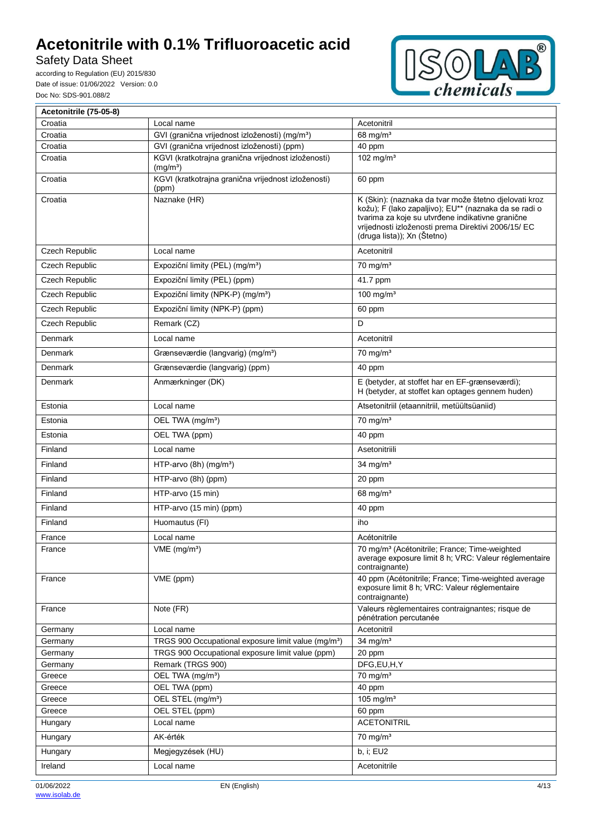Safety Data Sheet

according to Regulation (EU) 2015/830 Date of issue: 01/06/2022 Version: 0.0 Doc No: SDS-901.088/2



| Acetonitrile (75-05-8) |                                                                             |                                                                                                                                                                                                                                                          |
|------------------------|-----------------------------------------------------------------------------|----------------------------------------------------------------------------------------------------------------------------------------------------------------------------------------------------------------------------------------------------------|
| Croatia                | Local name                                                                  | Acetonitril                                                                                                                                                                                                                                              |
| Croatia                | GVI (granična vrijednost izloženosti) (mg/m <sup>3</sup> )                  | 68 mg/ $m3$                                                                                                                                                                                                                                              |
| Croatia                | GVI (granična vrijednost izloženosti) (ppm)                                 | 40 ppm                                                                                                                                                                                                                                                   |
| Croatia                | KGVI (kratkotrajna granična vrijednost izloženosti)<br>(mg/m <sup>3</sup> ) | 102 mg/m $3$                                                                                                                                                                                                                                             |
| Croatia                | KGVI (kratkotrajna granična vrijednost izloženosti)<br>(ppm)                | 60 ppm                                                                                                                                                                                                                                                   |
| Croatia                | Naznake (HR)                                                                | K (Skin): (naznaka da tvar može štetno djelovati kroz<br>kožu); F (lako zapaljivo); EU** (naznaka da se radi o<br>tvarima za koje su utvrđene indikativne granične<br>vrijednosti izloženosti prema Direktivi 2006/15/ EC<br>(druga lista)); Xn (Štetno) |
| Czech Republic         | Local name                                                                  | Acetonitril                                                                                                                                                                                                                                              |
| Czech Republic         | Expoziční limity (PEL) (mg/m <sup>3</sup> )                                 | $70$ mg/m <sup>3</sup>                                                                                                                                                                                                                                   |
| Czech Republic         | Expoziční limity (PEL) (ppm)                                                | 41.7 ppm                                                                                                                                                                                                                                                 |
| Czech Republic         | Expoziční limity (NPK-P) (mg/m <sup>3</sup> )                               | 100 mg/m <sup>3</sup>                                                                                                                                                                                                                                    |
| Czech Republic         | Expoziční limity (NPK-P) (ppm)                                              | 60 ppm                                                                                                                                                                                                                                                   |
| Czech Republic         | Remark (CZ)                                                                 | D                                                                                                                                                                                                                                                        |
| Denmark                | Local name                                                                  | Acetonitril                                                                                                                                                                                                                                              |
| Denmark                | Grænseværdie (langvarig) (mg/m <sup>3</sup> )                               | $70 \text{ ma/m}^3$                                                                                                                                                                                                                                      |
| Denmark                | Grænseværdie (langvarig) (ppm)                                              | 40 ppm                                                                                                                                                                                                                                                   |
| Denmark                | Anmærkninger (DK)                                                           | E (betyder, at stoffet har en EF-grænseværdi);                                                                                                                                                                                                           |
|                        |                                                                             | H (betyder, at stoffet kan optages gennem huden)                                                                                                                                                                                                         |
| Estonia                | Local name                                                                  | Atsetonitriil (etaannitriil, metüültsüaniid)                                                                                                                                                                                                             |
| Estonia                | OEL TWA (mg/m <sup>3</sup> )                                                | $70$ mg/m <sup>3</sup>                                                                                                                                                                                                                                   |
| Estonia                | OEL TWA (ppm)                                                               | 40 ppm                                                                                                                                                                                                                                                   |
| Finland                | Local name                                                                  | Asetonitriili                                                                                                                                                                                                                                            |
| Finland                | HTP-arvo (8h) (mg/m <sup>3</sup> )                                          | 34 mg/ $m3$                                                                                                                                                                                                                                              |
| Finland                | HTP-arvo (8h) (ppm)                                                         | 20 ppm                                                                                                                                                                                                                                                   |
| Finland                | HTP-arvo (15 min)                                                           | 68 mg/ $m3$                                                                                                                                                                                                                                              |
| Finland                | HTP-arvo (15 min) (ppm)                                                     | 40 ppm                                                                                                                                                                                                                                                   |
| Finland                | Huomautus (FI)                                                              | iho                                                                                                                                                                                                                                                      |
| France                 | Local name                                                                  | Acétonitrile                                                                                                                                                                                                                                             |
| France                 | $VME$ (mg/m <sup>3</sup> )                                                  | 70 mg/m <sup>3</sup> (Acétonitrile; France; Time-weighted<br>average exposure limit 8 h; VRC: Valeur réglementaire<br>contraignante)                                                                                                                     |
| France                 | VME (ppm)                                                                   | 40 ppm (Acétonitrile; France; Time-weighted average<br>exposure limit 8 h; VRC: Valeur réglementaire<br>contraignante)                                                                                                                                   |
| France                 | Note (FR)                                                                   | Valeurs règlementaires contraignantes; risque de<br>pénétration percutanée                                                                                                                                                                               |
| Germany                | Local name                                                                  | Acetonitril                                                                                                                                                                                                                                              |
| Germany                | TRGS 900 Occupational exposure limit value (mg/m <sup>3</sup> )             | 34 mg/ $m3$                                                                                                                                                                                                                                              |
| Germany                | TRGS 900 Occupational exposure limit value (ppm)                            | 20 ppm                                                                                                                                                                                                                                                   |
| Germany                | Remark (TRGS 900)                                                           | DFG,EU,H,Y                                                                                                                                                                                                                                               |
| Greece                 | OEL TWA (mg/m <sup>3</sup> )                                                | $70$ mg/m <sup>3</sup><br>40 ppm                                                                                                                                                                                                                         |
| Greece<br>Greece       | OEL TWA (ppm)<br>OEL STEL (mg/m <sup>3</sup> )                              | 105 mg/ $m3$                                                                                                                                                                                                                                             |
| Greece                 | OEL STEL (ppm)                                                              | 60 ppm                                                                                                                                                                                                                                                   |
| Hungary                | Local name                                                                  | <b>ACETONITRIL</b>                                                                                                                                                                                                                                       |
| Hungary                | AK-érték                                                                    | $70 \text{ mg/m}^3$                                                                                                                                                                                                                                      |
| Hungary                | Megjegyzések (HU)                                                           | b, i; EU2                                                                                                                                                                                                                                                |
| Ireland                | Local name                                                                  | Acetonitrile                                                                                                                                                                                                                                             |
|                        |                                                                             |                                                                                                                                                                                                                                                          |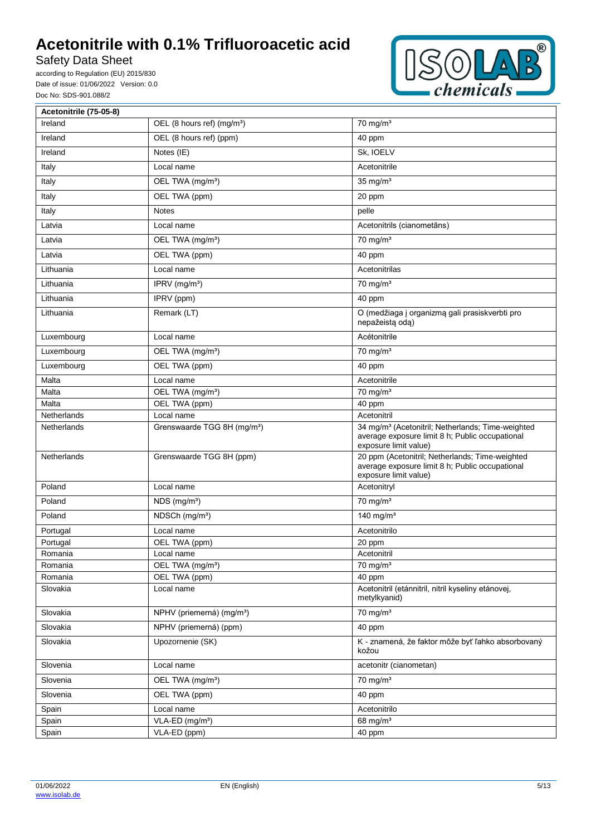Safety Data Sheet

according to Regulation (EU) 2015/830 Date of issue: 01/06/2022 Version: 0.0 Doc No: SDS-901.088/2



| Acetonitrile (75-05-8) |                                         |                                                                                                                                           |
|------------------------|-----------------------------------------|-------------------------------------------------------------------------------------------------------------------------------------------|
| Ireland                | OEL (8 hours ref) (mg/m <sup>3</sup> )  | $70$ mg/m <sup>3</sup>                                                                                                                    |
| Ireland                | OEL (8 hours ref) (ppm)                 | 40 ppm                                                                                                                                    |
| Ireland                | Notes (IE)                              | Sk, IOELV                                                                                                                                 |
| Italy                  | Local name                              | Acetonitrile                                                                                                                              |
| Italy                  | OEL TWA (mg/m <sup>3</sup> )            | $35 \text{ mg/m}^3$                                                                                                                       |
| Italy                  | OEL TWA (ppm)                           | 20 ppm                                                                                                                                    |
| Italy                  | <b>Notes</b>                            | pelle                                                                                                                                     |
| Latvia                 | Local name                              | Acetonitrils (cianometāns)                                                                                                                |
| Latvia                 | OEL TWA (mg/m <sup>3</sup> )            | $\frac{1}{70}$ mg/m <sup>3</sup>                                                                                                          |
| Latvia                 | OEL TWA (ppm)                           | 40 ppm                                                                                                                                    |
| Lithuania              | Local name                              | Acetonitrilas                                                                                                                             |
| Lithuania              | IPRV (mg/m <sup>3</sup> )               | $70$ mg/m <sup>3</sup>                                                                                                                    |
| Lithuania              | IPRV (ppm)                              | 40 ppm                                                                                                                                    |
| Lithuania              | Remark (LT)                             | O (medžiaga į organizmą gali prasiskverbti pro<br>nepažeistą odą)                                                                         |
| Luxembourg             | Local name                              | Acétonitrile                                                                                                                              |
| Luxembourg             | OEL TWA (mg/m <sup>3</sup> )            | $70 \text{ mg/m}^3$                                                                                                                       |
| Luxembourg             | OEL TWA (ppm)                           | 40 ppm                                                                                                                                    |
| Malta                  | Local name                              | Acetonitrile                                                                                                                              |
| Malta                  | OEL TWA (mg/m <sup>3</sup> )            | $70$ mg/m <sup>3</sup>                                                                                                                    |
| Malta                  | OEL TWA (ppm)                           | 40 ppm                                                                                                                                    |
| Netherlands            | Local name                              | Acetonitril                                                                                                                               |
| Netherlands            | Grenswaarde TGG 8H (mg/m <sup>3</sup> ) | 34 mg/m <sup>3</sup> (Acetonitril; Netherlands; Time-weighted<br>average exposure limit 8 h; Public occupational<br>exposure limit value) |
| Netherlands            | Grenswaarde TGG 8H (ppm)                | 20 ppm (Acetonitril; Netherlands; Time-weighted<br>average exposure limit 8 h; Public occupational<br>exposure limit value)               |
| Poland                 | Local name                              | Acetonitryl                                                                                                                               |
| Poland                 | $NDS$ (mg/m <sup>3</sup> )              | $70$ mg/m <sup>3</sup>                                                                                                                    |
| Poland                 | NDSCh (mg/m <sup>3</sup> )              | 140 mg/ $m3$                                                                                                                              |
| Portugal               | Local name                              | Acetonitrilo                                                                                                                              |
| Portugal               | OEL TWA (ppm)                           | 20 ppm                                                                                                                                    |
| Romania                | Local name                              | Acetonitril                                                                                                                               |
| Romania                | OEL TWA (mg/m <sup>3</sup> )            | $70$ mg/m <sup>3</sup>                                                                                                                    |
| Romania                | OEL TWA (ppm)                           | 40 ppm                                                                                                                                    |
| Slovakia               | Local name                              | Acetonitril (etánnitril, nitril kyseliny etánovej,<br>metylkyanid)                                                                        |
| Slovakia               | NPHV (priemerná) (mg/m <sup>3</sup> )   | $70$ mg/m <sup>3</sup>                                                                                                                    |
| Slovakia               | NPHV (priemerná) (ppm)                  | 40 ppm                                                                                                                                    |
| Slovakia               | Upozornenie (SK)                        | K - znamená, že faktor môže byť ľahko absorbovaný<br>kožou                                                                                |
| Slovenia               | Local name                              | acetonitr (cianometan)                                                                                                                    |
| Slovenia               | OEL TWA (mg/m <sup>3</sup> )            | $70 \text{ mg/m}^3$                                                                                                                       |
| Slovenia               | OEL TWA (ppm)                           | 40 ppm                                                                                                                                    |
| Spain                  | Local name                              | Acetonitrilo                                                                                                                              |
| Spain                  | VLA-ED (mg/m <sup>3</sup> )             | 68 mg/ $m3$                                                                                                                               |
| Spain                  | VLA-ED (ppm)                            | 40 ppm                                                                                                                                    |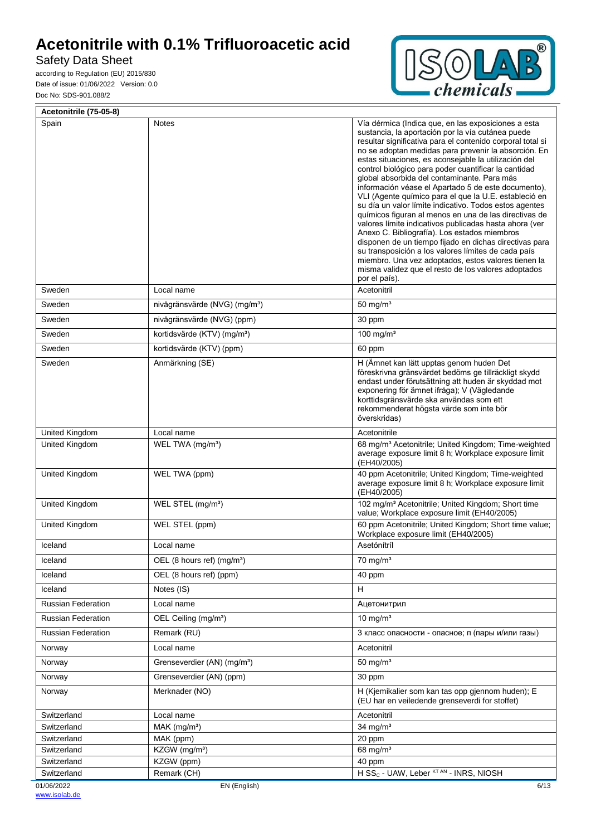# Safety Data Sheet

 $\bar{r}$ 

according to Regulation (EU) 2015/830 Date of issue: 01/06/2022 Version: 0.0 Doc No: SDS-901.088/2



| Acetonitrile (75-05-8)     |                                           |                                                                                                                                                                                                                                                                                                                                                                                                                                                                                                                                                                                                                                                                                                                                                                                                                                                                                                                                                                                            |
|----------------------------|-------------------------------------------|--------------------------------------------------------------------------------------------------------------------------------------------------------------------------------------------------------------------------------------------------------------------------------------------------------------------------------------------------------------------------------------------------------------------------------------------------------------------------------------------------------------------------------------------------------------------------------------------------------------------------------------------------------------------------------------------------------------------------------------------------------------------------------------------------------------------------------------------------------------------------------------------------------------------------------------------------------------------------------------------|
| Spain                      | Notes                                     | Vía dérmica (Indica que, en las exposiciones a esta<br>sustancia, la aportación por la vía cutánea puede<br>resultar significativa para el contenido corporal total si<br>no se adoptan medidas para prevenir la absorción. En<br>estas situaciones, es aconsejable la utilización del<br>control biológico para poder cuantificar la cantidad<br>global absorbida del contaminante. Para más<br>información véase el Apartado 5 de este documento),<br>VLI (Agente químico para el que la U.E. estableció en<br>su día un valor límite indicativo. Todos estos agentes<br>químicos figuran al menos en una de las directivas de<br>valores límite indicativos publicadas hasta ahora (ver<br>Anexo C. Bibliografía). Los estados miembros<br>disponen de un tiempo fijado en dichas directivas para<br>su transposición a los valores límites de cada país<br>miembro. Una vez adoptados, estos valores tienen la<br>misma validez que el resto de los valores adoptados<br>por el país). |
| Sweden                     | Local name                                | Acetonitril                                                                                                                                                                                                                                                                                                                                                                                                                                                                                                                                                                                                                                                                                                                                                                                                                                                                                                                                                                                |
| Sweden                     | nivågränsvärde (NVG) (mg/m <sup>3</sup> ) | 50 mg/ $m3$                                                                                                                                                                                                                                                                                                                                                                                                                                                                                                                                                                                                                                                                                                                                                                                                                                                                                                                                                                                |
| Sweden                     | nivågränsvärde (NVG) (ppm)                | 30 ppm                                                                                                                                                                                                                                                                                                                                                                                                                                                                                                                                                                                                                                                                                                                                                                                                                                                                                                                                                                                     |
| Sweden                     | kortidsvärde (KTV) (mg/m <sup>3</sup> )   | 100 mg/m $3$                                                                                                                                                                                                                                                                                                                                                                                                                                                                                                                                                                                                                                                                                                                                                                                                                                                                                                                                                                               |
| Sweden                     | kortidsvärde (KTV) (ppm)                  | 60 ppm                                                                                                                                                                                                                                                                                                                                                                                                                                                                                                                                                                                                                                                                                                                                                                                                                                                                                                                                                                                     |
| Sweden                     | Anmärkning (SE)                           | H (Ämnet kan lätt upptas genom huden Det<br>föreskrivna gränsvärdet bedöms ge tillräckligt skydd<br>endast under förutsättning att huden är skyddad mot<br>exponering för ämnet ifråga); V (Vägledande<br>korttidsgränsvärde ska användas som ett<br>rekommenderat högsta värde som inte bör<br>överskridas)                                                                                                                                                                                                                                                                                                                                                                                                                                                                                                                                                                                                                                                                               |
| United Kingdom             | Local name                                | Acetonitrile                                                                                                                                                                                                                                                                                                                                                                                                                                                                                                                                                                                                                                                                                                                                                                                                                                                                                                                                                                               |
| United Kingdom             | WEL TWA (mg/m <sup>3</sup> )              | 68 mg/m <sup>3</sup> Acetonitrile; United Kingdom; Time-weighted<br>average exposure limit 8 h; Workplace exposure limit<br>(EH40/2005)                                                                                                                                                                                                                                                                                                                                                                                                                                                                                                                                                                                                                                                                                                                                                                                                                                                    |
| United Kingdom             | WEL TWA (ppm)                             | 40 ppm Acetonitrile; United Kingdom; Time-weighted<br>average exposure limit 8 h; Workplace exposure limit<br>(EH40/2005)                                                                                                                                                                                                                                                                                                                                                                                                                                                                                                                                                                                                                                                                                                                                                                                                                                                                  |
| United Kingdom             | WEL STEL (mg/m <sup>3</sup> )             | 102 mg/m <sup>3</sup> Acetonitrile; United Kingdom; Short time<br>value; Workplace exposure limit (EH40/2005)                                                                                                                                                                                                                                                                                                                                                                                                                                                                                                                                                                                                                                                                                                                                                                                                                                                                              |
| United Kingdom             | WEL STEL (ppm)                            | 60 ppm Acetonitrile; United Kingdom; Short time value;<br>Workplace exposure limit (EH40/2005)                                                                                                                                                                                                                                                                                                                                                                                                                                                                                                                                                                                                                                                                                                                                                                                                                                                                                             |
| Iceland                    | Local name                                | Asetónítríl                                                                                                                                                                                                                                                                                                                                                                                                                                                                                                                                                                                                                                                                                                                                                                                                                                                                                                                                                                                |
| Iceland                    | OEL (8 hours ref) (mg/m <sup>3</sup> )    | $70$ mg/m <sup>3</sup>                                                                                                                                                                                                                                                                                                                                                                                                                                                                                                                                                                                                                                                                                                                                                                                                                                                                                                                                                                     |
| Iceland                    | OEL (8 hours ref) (ppm)                   | 40 ppm                                                                                                                                                                                                                                                                                                                                                                                                                                                                                                                                                                                                                                                                                                                                                                                                                                                                                                                                                                                     |
| Iceland                    | Notes (IS)                                | H                                                                                                                                                                                                                                                                                                                                                                                                                                                                                                                                                                                                                                                                                                                                                                                                                                                                                                                                                                                          |
| <b>Russian Federation</b>  | Local name                                | Ацетонитрил                                                                                                                                                                                                                                                                                                                                                                                                                                                                                                                                                                                                                                                                                                                                                                                                                                                                                                                                                                                |
| <b>Russian Federation</b>  | OEL Ceiling (mg/m <sup>3</sup> )          | $10 \text{ mg/m}^3$                                                                                                                                                                                                                                                                                                                                                                                                                                                                                                                                                                                                                                                                                                                                                                                                                                                                                                                                                                        |
| <b>Russian Federation</b>  | Remark (RU)                               | 3 класс опасности - опасное; п (пары и/или газы)                                                                                                                                                                                                                                                                                                                                                                                                                                                                                                                                                                                                                                                                                                                                                                                                                                                                                                                                           |
| Norway                     | Local name                                | Acetonitril                                                                                                                                                                                                                                                                                                                                                                                                                                                                                                                                                                                                                                                                                                                                                                                                                                                                                                                                                                                |
| Norway                     | Grenseverdier (AN) (mg/m <sup>3</sup> )   | $50$ mg/m <sup>3</sup>                                                                                                                                                                                                                                                                                                                                                                                                                                                                                                                                                                                                                                                                                                                                                                                                                                                                                                                                                                     |
| Norway                     | Grenseverdier (AN) (ppm)                  | 30 ppm                                                                                                                                                                                                                                                                                                                                                                                                                                                                                                                                                                                                                                                                                                                                                                                                                                                                                                                                                                                     |
| Norway                     | Merknader (NO)                            | H (Kjemikalier som kan tas opp gjennom huden); E<br>(EU har en veiledende grenseverdi for stoffet)                                                                                                                                                                                                                                                                                                                                                                                                                                                                                                                                                                                                                                                                                                                                                                                                                                                                                         |
| Switzerland                | Local name                                | Acetonitril                                                                                                                                                                                                                                                                                                                                                                                                                                                                                                                                                                                                                                                                                                                                                                                                                                                                                                                                                                                |
| Switzerland                | $MAK$ (mg/m <sup>3</sup> )                | 34 mg/ $m3$                                                                                                                                                                                                                                                                                                                                                                                                                                                                                                                                                                                                                                                                                                                                                                                                                                                                                                                                                                                |
| Switzerland                | MAK (ppm)                                 | 20 ppm                                                                                                                                                                                                                                                                                                                                                                                                                                                                                                                                                                                                                                                                                                                                                                                                                                                                                                                                                                                     |
| Switzerland                | KZGW (mg/m <sup>3</sup> )                 | 68 mg/m <sup>3</sup>                                                                                                                                                                                                                                                                                                                                                                                                                                                                                                                                                                                                                                                                                                                                                                                                                                                                                                                                                                       |
| Switzerland<br>Switzerland | KZGW (ppm)<br>Remark (CH)                 | 40 ppm<br>H SS <sub>C</sub> - UAW, Leber <sup>KT AN</sup> - INRS, NIOSH                                                                                                                                                                                                                                                                                                                                                                                                                                                                                                                                                                                                                                                                                                                                                                                                                                                                                                                    |
| 01/06/2022                 | EN (English)                              | 6/13                                                                                                                                                                                                                                                                                                                                                                                                                                                                                                                                                                                                                                                                                                                                                                                                                                                                                                                                                                                       |
|                            |                                           |                                                                                                                                                                                                                                                                                                                                                                                                                                                                                                                                                                                                                                                                                                                                                                                                                                                                                                                                                                                            |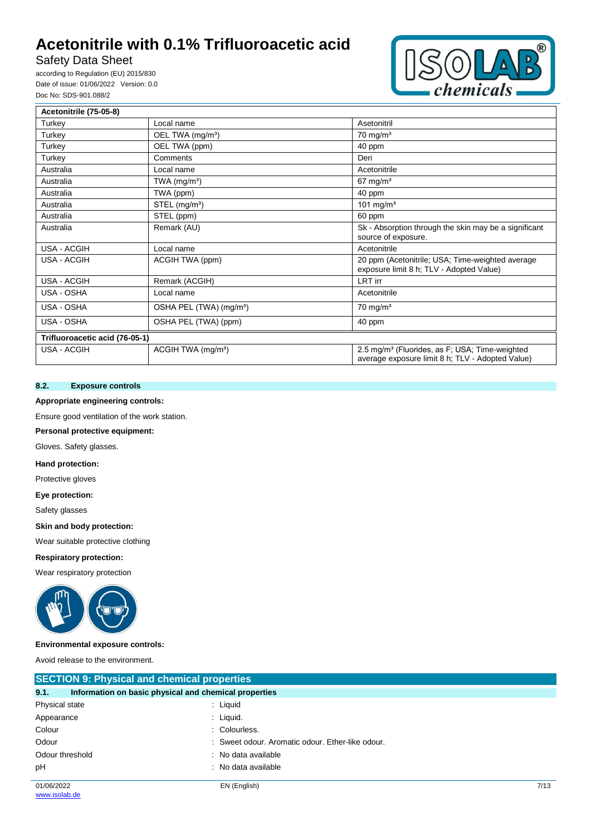# Safety Data Sheet

according to Regulation (EU) 2015/830 Date of issue: 01/06/2022 Version: 0.0 Doc No: SDS-901.088/2



| Acetonitrile (75-05-8)         |                                     |                                                                                                                |
|--------------------------------|-------------------------------------|----------------------------------------------------------------------------------------------------------------|
| Turkey                         | Local name                          | Asetonitril                                                                                                    |
| Turkey                         | OEL TWA (mg/m <sup>3</sup> )        | $70 \text{ mg/m}^3$                                                                                            |
| Turkey                         | OEL TWA (ppm)                       | 40 ppm                                                                                                         |
| Turkey                         | Comments                            | Deri                                                                                                           |
| Australia                      | Local name                          | Acetonitrile                                                                                                   |
| Australia                      | TWA $(mg/m3)$                       | $67 \text{ mg/m}^3$                                                                                            |
| Australia                      | TWA (ppm)                           | 40 ppm                                                                                                         |
| Australia                      | $STEL$ (mg/m <sup>3</sup> )         | 101 mg/ $m3$                                                                                                   |
| Australia                      | STEL (ppm)                          | 60 ppm                                                                                                         |
| Australia                      | Remark (AU)                         | Sk - Absorption through the skin may be a significant<br>source of exposure.                                   |
| USA - ACGIH                    | Local name                          | Acetonitrile                                                                                                   |
| USA - ACGIH                    | ACGIH TWA (ppm)                     | 20 ppm (Acetonitrile; USA; Time-weighted average<br>exposure limit 8 h; TLV - Adopted Value)                   |
| USA - ACGIH                    | Remark (ACGIH)                      | <b>LRT</b> irr                                                                                                 |
| USA - OSHA                     | Local name                          | Acetonitrile                                                                                                   |
| USA - OSHA                     | OSHA PEL (TWA) (mg/m <sup>3</sup> ) | $70 \text{ mg/m}^3$                                                                                            |
| USA - OSHA                     | OSHA PEL (TWA) (ppm)                | 40 ppm                                                                                                         |
| Trifluoroacetic acid (76-05-1) |                                     |                                                                                                                |
| USA - ACGIH                    | ACGIH TWA (mg/m <sup>3</sup> )      | 2.5 mg/m <sup>3</sup> (Fluorides, as F; USA; Time-weighted<br>average exposure limit 8 h; TLV - Adopted Value) |

# **8.2. Exposure controls**

### **Appropriate engineering controls:**

Ensure good ventilation of the work station.

**Personal protective equipment:**

Gloves. Safety glasses.

### **Hand protection:**

Protective gloves

#### **Eye protection:**

Safety glasses

#### **Skin and body protection:**

Wear suitable protective clothing

#### **Respiratory protection:**

Wear respiratory protection



#### **Environmental exposure controls:**

Avoid release to the environment.

| <b>SECTION 9: Physical and chemical properties</b> |                                                       |      |  |  |
|----------------------------------------------------|-------------------------------------------------------|------|--|--|
| 9.1.                                               | Information on basic physical and chemical properties |      |  |  |
| Physical state                                     | : Liquid                                              |      |  |  |
| Appearance                                         | : Liquid.                                             |      |  |  |
| Colour                                             | : Colourless.                                         |      |  |  |
| Odour                                              | : Sweet odour. Aromatic odour. Ether-like odour.      |      |  |  |
| Odour threshold                                    | : No data available                                   |      |  |  |
| pH                                                 | : No data available                                   |      |  |  |
| 01/06/2022                                         | EN (English)                                          | 7/13 |  |  |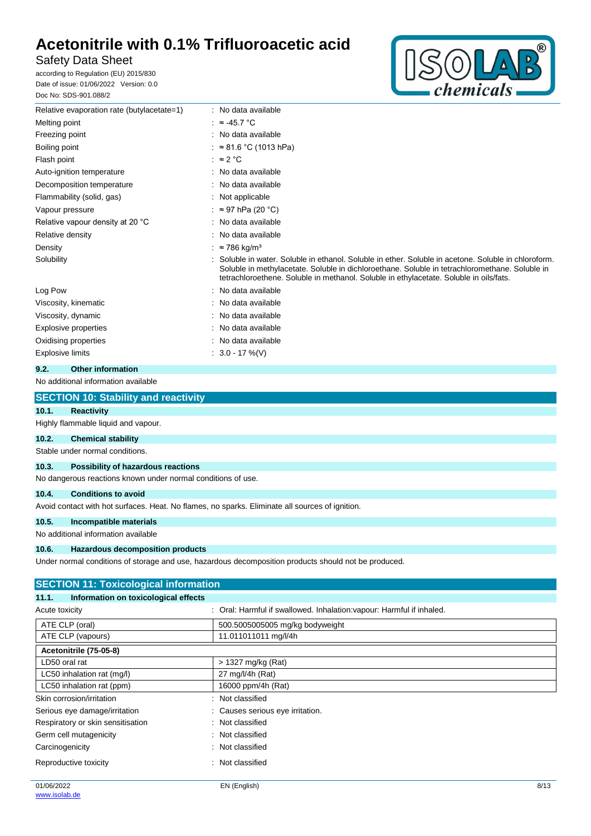# Safety Data Sheet

according to Regulation (EU) 2015/830 Date of issue: 01/06/2022 Version: 0.0 Doc No: SDS-901.088/2



| Relative evaporation rate (butylacetate=1) | : No data available                                                                                                                                                                                                                                                                            |  |
|--------------------------------------------|------------------------------------------------------------------------------------------------------------------------------------------------------------------------------------------------------------------------------------------------------------------------------------------------|--|
| Melting point                              | : $\approx$ 45.7 °C                                                                                                                                                                                                                                                                            |  |
| Freezing point                             | : No data available                                                                                                                                                                                                                                                                            |  |
| Boiling point                              | $\approx 81.6 \degree C$ (1013 hPa)                                                                                                                                                                                                                                                            |  |
| Flash point                                | : $\approx$ 2 °C                                                                                                                                                                                                                                                                               |  |
| Auto-ignition temperature                  | : No data available                                                                                                                                                                                                                                                                            |  |
| Decomposition temperature                  | : No data available                                                                                                                                                                                                                                                                            |  |
| Flammability (solid, gas)                  | : Not applicable                                                                                                                                                                                                                                                                               |  |
| Vapour pressure                            | : ≈ 97 hPa (20 °C)                                                                                                                                                                                                                                                                             |  |
| Relative vapour density at 20 °C           | No data available                                                                                                                                                                                                                                                                              |  |
| Relative density                           | : No data available                                                                                                                                                                                                                                                                            |  |
| Density                                    | $\approx$ 786 kg/m <sup>3</sup>                                                                                                                                                                                                                                                                |  |
| Solubility                                 | Soluble in water. Soluble in ethanol. Soluble in ether. Soluble in acetone. Soluble in chloroform.<br>Soluble in methylacetate. Soluble in dichloroethane. Soluble in tetrachloromethane. Soluble in<br>tetrachloroethene. Soluble in methanol. Soluble in ethylacetate. Soluble in oils/fats. |  |
| Log Pow                                    | : No data available                                                                                                                                                                                                                                                                            |  |
| Viscosity, kinematic                       | : No data available                                                                                                                                                                                                                                                                            |  |
| Viscosity, dynamic                         | : No data available                                                                                                                                                                                                                                                                            |  |
| Explosive properties                       | : No data available                                                                                                                                                                                                                                                                            |  |
| Oxidising properties                       | : No data available                                                                                                                                                                                                                                                                            |  |
| <b>Explosive limits</b>                    | $: 3.0 - 17 \%$ (V)                                                                                                                                                                                                                                                                            |  |
| 9.2.<br><b>Other information</b>           |                                                                                                                                                                                                                                                                                                |  |

### No additional information available

| <b>SECTION 10: Stability and reactivity</b> |  |
|---------------------------------------------|--|
|                                             |  |

| 10.1. | Reactivity                          |
|-------|-------------------------------------|
|       | Highly flammable liquid and vapour. |
| 10.2. | <b>Chemical stability</b>           |
|       |                                     |

Stable under normal conditions.

# **10.3. Possibility of hazardous reactions**

No dangerous reactions known under normal conditions of use.

### **10.4. Conditions to avoid**

Avoid contact with hot surfaces. Heat. No flames, no sparks. Eliminate all sources of ignition.

### **10.5. Incompatible materials**

No additional information available

### **10.6. Hazardous decomposition products**

Under normal conditions of storage and use, hazardous decomposition products should not be produced.

| <b>SECTION 11: Toxicological information</b>  |                                                                       |  |  |  |
|-----------------------------------------------|-----------------------------------------------------------------------|--|--|--|
| Information on toxicological effects<br>11.1. |                                                                       |  |  |  |
| Acute toxicity                                | : Oral: Harmful if swallowed. Inhalation: vapour: Harmful if inhaled. |  |  |  |
| ATE CLP (oral)                                | 500.5005005005 mg/kg bodyweight                                       |  |  |  |
| ATE CLP (vapours)                             | 11.011011011 mg/l/4h                                                  |  |  |  |
| Acetonitrile (75-05-8)                        |                                                                       |  |  |  |
| LD50 oral rat                                 | > 1327 mg/kg (Rat)                                                    |  |  |  |
| LC50 inhalation rat (mg/l)                    | 27 mg/l/4h (Rat)                                                      |  |  |  |
| LC50 inhalation rat (ppm)                     | 16000 ppm/4h (Rat)                                                    |  |  |  |
| Skin corrosion/irritation                     | : Not classified                                                      |  |  |  |
| Serious eye damage/irritation                 | : Causes serious eye irritation.                                      |  |  |  |
| Respiratory or skin sensitisation             | : Not classified                                                      |  |  |  |
| Germ cell mutagenicity                        | : Not classified                                                      |  |  |  |
| Carcinogenicity                               | : Not classified                                                      |  |  |  |
| Reproductive toxicity                         | : Not classified                                                      |  |  |  |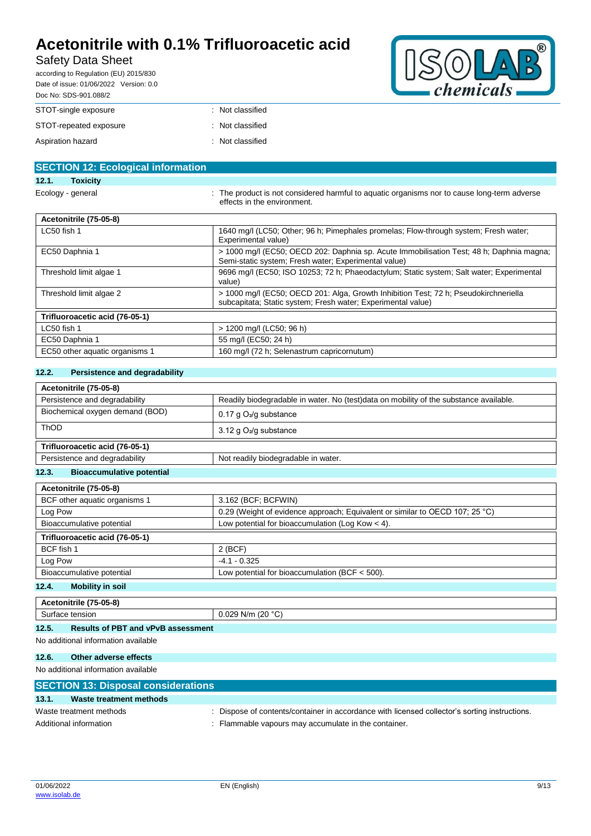# Safety Data Sheet

according to Regulation (EU) 2015/830 Date of issue: 01/06/2022 Version: 0.0



| Doc No: SDS-901.088/2  |                  |  |  |
|------------------------|------------------|--|--|
| STOT-single exposure   | : Not classified |  |  |
| STOT-repeated exposure | : Not classified |  |  |
| Aspiration hazard      | : Not classified |  |  |

| <b>SECTION 12: Ecological information</b> |                                                                                                                                                      |
|-------------------------------------------|------------------------------------------------------------------------------------------------------------------------------------------------------|
| <b>Toxicity</b><br>12.1.                  |                                                                                                                                                      |
| Ecology - general                         | : The product is not considered harmful to aquatic organisms nor to cause long-term adverse<br>effects in the environment.                           |
| Acetonitrile (75-05-8)                    |                                                                                                                                                      |
| LC50 fish 1                               | 1640 mg/l (LC50; Other; 96 h; Pimephales promelas; Flow-through system; Fresh water;<br>Experimental value)                                          |
| EC50 Daphnia 1                            | > 1000 mg/l (EC50; OECD 202: Daphnia sp. Acute Immobilisation Test; 48 h; Daphnia magna;<br>Semi-static system; Fresh water; Experimental value)     |
| Threshold limit algae 1                   | 9696 mg/l (EC50; ISO 10253; 72 h; Phaeodactylum; Static system; Salt water; Experimental<br>value)                                                   |
| Threshold limit algae 2                   | > 1000 mg/l (EC50; OECD 201: Alga, Growth Inhibition Test; 72 h; Pseudokirchneriella<br>subcapitata; Static system; Fresh water; Experimental value) |
| Trifluoroacetic acid (76-05-1)            |                                                                                                                                                      |
| LC50 fish 1                               | > 1200 mg/l (LC50; 96 h)                                                                                                                             |
| EC50 Daphnia 1                            | 55 mg/l (EC50; 24 h)                                                                                                                                 |
| EC50 other aquatic organisms 1            | 160 mg/l (72 h; Selenastrum capricornutum)                                                                                                           |
|                                           |                                                                                                                                                      |

### **12.2. Persistence and degradability**

| Acetonitrile (75-05-8)                                               |                                                                                       |  |  |
|----------------------------------------------------------------------|---------------------------------------------------------------------------------------|--|--|
| Persistence and degradability                                        | Readily biodegradable in water. No (test)data on mobility of the substance available. |  |  |
| Biochemical oxygen demand (BOD)                                      | $0.17$ g $O2/g$ substance                                                             |  |  |
| <b>ThOD</b>                                                          | 3.12 g $O_2$ /g substance                                                             |  |  |
| Trifluoroacetic acid (76-05-1)                                       |                                                                                       |  |  |
| Persistence and degradability<br>Not readily biodegradable in water. |                                                                                       |  |  |
| 12.3.<br><b>Bioaccumulative potential</b>                            |                                                                                       |  |  |

| Acetonitrile (75-05-8)                                                          |                                                                              |
|---------------------------------------------------------------------------------|------------------------------------------------------------------------------|
| BCF other aquatic organisms 1                                                   | 3.162 (BCF; BCFWIN)                                                          |
| Log Pow                                                                         | 0.29 (Weight of evidence approach; Equivalent or similar to OECD 107; 25 °C) |
| Low potential for bioaccumulation (Log Kow $<$ 4).<br>Bioaccumulative potential |                                                                              |
| Trifluoroacetic acid (76-05-1)                                                  |                                                                              |
| BCF fish 1                                                                      | $2$ (BCF)                                                                    |
| Log Pow                                                                         | $-4.1 - 0.325$                                                               |
| Bioaccumulative potential                                                       | Low potential for bioaccumulation (BCF $<$ 500).                             |
| 12.4.<br><b>Mobility in soil</b>                                                |                                                                              |

| Acetonitrile (75-05-8)                            |                                                           |
|---------------------------------------------------|-----------------------------------------------------------|
| tensior                                           | . (20 °C`<br>. N/m<br>$\sim$ . $\cup$ $\in$<br><u>_ ,</u> |
| 1つ 5<br><b>Paculte of PRT and vPvR accordment</b> |                                                           |

#### **12.5. Results of PBT and vPvB assessment** No additional information available

# **12.6. Other adverse effects**

# No additional information available

|       | <b>SECTION 13: Disposal considerations</b> |                                                                                               |
|-------|--------------------------------------------|-----------------------------------------------------------------------------------------------|
| 13.1. | Waste treatment methods                    |                                                                                               |
|       | Waste treatment methods                    | : Dispose of contents/container in accordance with licensed collector's sorting instructions. |
|       | Additional information                     | : Flammable vapours may accumulate in the container.                                          |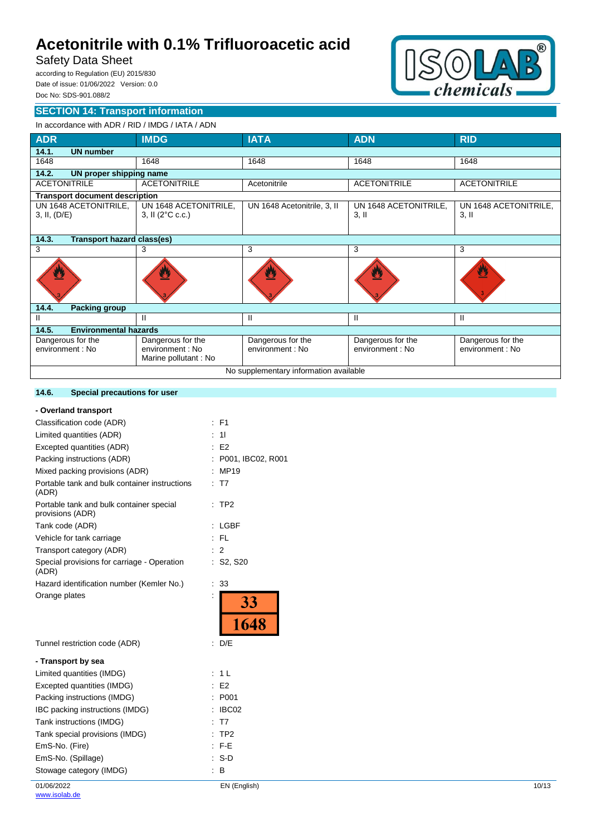# Safety Data Sheet

according to Regulation (EU) 2015/830 Date of issue: 01/06/2022 Version: 0.0 Doc No: SDS-901.088/2



# **SECTION 14: Transport information**

### In accordance with ADR / RID / IMDG / IATA / ADN

| <b>ADR</b>                                 | <b>IMDG</b>                                                   | <b>IATA</b>                           | <b>ADN</b>                            | <b>RID</b>                            |  |
|--------------------------------------------|---------------------------------------------------------------|---------------------------------------|---------------------------------------|---------------------------------------|--|
| 14.1.<br><b>UN number</b>                  |                                                               |                                       |                                       |                                       |  |
| 1648                                       | 1648                                                          | 1648                                  | 1648                                  | 1648                                  |  |
| 14.2.<br>UN proper shipping name           |                                                               |                                       |                                       |                                       |  |
| <b>ACETONITRILE</b>                        | <b>ACETONITRILE</b>                                           | Acetonitrile                          | <b>ACETONITRILE</b>                   | <b>ACETONITRILE</b>                   |  |
| <b>Transport document description</b>      |                                                               |                                       |                                       |                                       |  |
| UN 1648 ACETONITRILE,<br>3, II, (D/E)      | UN 1648 ACETONITRILE,<br>3, II $(2^{\circ}C \text{ c.c.})$    | UN 1648 Acetonitrile, 3, II           | UN 1648 ACETONITRILE,<br>$3,$ II      | UN 1648 ACETONITRILE,<br>$3,$ II      |  |
| 14.3.<br><b>Transport hazard class(es)</b> |                                                               |                                       |                                       |                                       |  |
| 3                                          | 3                                                             | 3                                     | 3                                     | 3                                     |  |
|                                            |                                                               |                                       |                                       | U                                     |  |
| 14.4.<br><b>Packing group</b>              |                                                               |                                       |                                       |                                       |  |
| Ш                                          | н                                                             | Ш                                     | Ш                                     | Ш                                     |  |
| 14.5.<br><b>Environmental hazards</b>      |                                                               |                                       |                                       |                                       |  |
| Dangerous for the<br>environment : No      | Dangerous for the<br>environment : No<br>Marine pollutant: No | Dangerous for the<br>environment : No | Dangerous for the<br>environment : No | Dangerous for the<br>environment : No |  |
| No supplementary information available     |                                                               |                                       |                                       |                                       |  |

#### **14.6. Special precautions for user**

| - Overland transport                                         |                      |
|--------------------------------------------------------------|----------------------|
| Classification code (ADR)                                    | F <sub>1</sub>       |
| Limited quantities (ADR)                                     | 11                   |
| Excepted quantities (ADR)                                    | E <sub>2</sub>       |
| Packing instructions (ADR)                                   | P001, IBC02, R001    |
| Mixed packing provisions (ADR)                               | MP19                 |
| Portable tank and bulk container instructions<br>(ADR)       | T7                   |
| Portable tank and bulk container special<br>provisions (ADR) | TP <sub>2</sub><br>÷ |
| Tank code (ADR)                                              | <b>LGBF</b><br>÷     |
| Vehicle for tank carriage                                    | FL.                  |
| Transport category (ADR)                                     | $\overline{2}$       |
| Special provisions for carriage - Operation<br>(ADR)         | S2, S20              |
| Hazard identification number (Kemler No.)                    | 33<br>İ.             |
| Orange plates                                                | $\frac{33}{1648}$    |
| Tunnel restriction code (ADR)                                | D/E                  |
| - Transport by sea                                           |                      |
| Limited quantities (IMDG)                                    | 1 <sup>L</sup>       |
| Excepted quantities (IMDG)                                   | E <sub>2</sub><br>t. |
| Packing instructions (IMDG)                                  | P001<br>t            |
| IBC packing instructions (IMDG)                              | IBC02                |
| Tank instructions (IMDG)                                     | T <sub>7</sub>       |
| Tank special provisions (IMDG)                               | TP <sub>2</sub>      |
| EmS-No. (Fire)                                               | F-E<br>t.            |
| EmS-No. (Spillage)                                           | $S-D$<br>t.          |
| Stowage category (IMDG)                                      | в                    |
|                                                              |                      |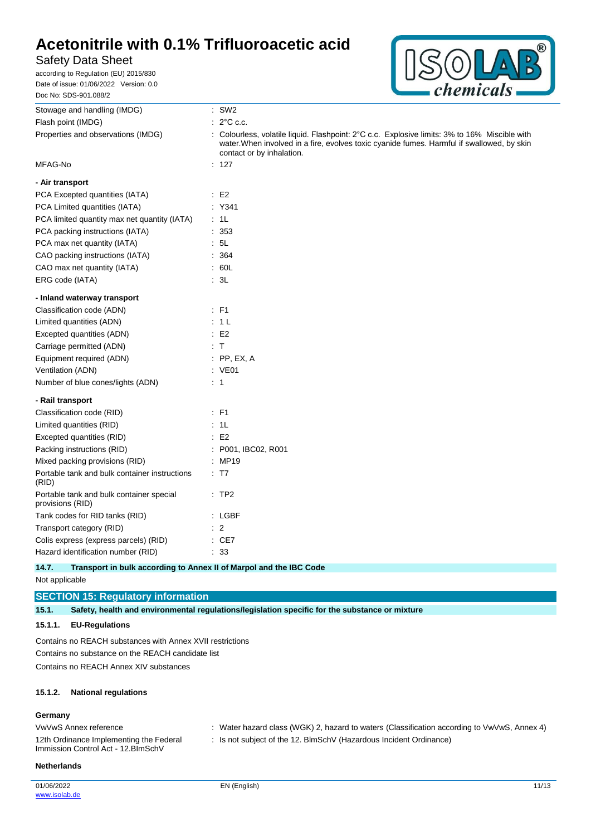# Safety Data Sheet

according to Regulation (EU) 2015/830 Date of issue: 01/06/2022 Version: 0.0 Doc No: SDS-901.088/2



| Stowage and handling (IMDG)                                               | $:$ SW2                                                                                                                                                                                                                  |
|---------------------------------------------------------------------------|--------------------------------------------------------------------------------------------------------------------------------------------------------------------------------------------------------------------------|
| Flash point (IMDG)                                                        | $: 2^{\circ}$ C c.c.                                                                                                                                                                                                     |
| Properties and observations (IMDG)                                        | : Colourless, volatile liquid. Flashpoint: 2°C c.c. Explosive limits: 3% to 16% Miscible with<br>water. When involved in a fire, evolves toxic cyanide fumes. Harmful if swallowed, by skin<br>contact or by inhalation. |
| MFAG-No                                                                   | : 127                                                                                                                                                                                                                    |
| - Air transport                                                           |                                                                                                                                                                                                                          |
| PCA Excepted quantities (IATA)                                            | $\therefore$ E2                                                                                                                                                                                                          |
| PCA Limited quantities (IATA)                                             | : Y341                                                                                                                                                                                                                   |
| PCA limited quantity max net quantity (IATA)                              | : 1L                                                                                                                                                                                                                     |
| PCA packing instructions (IATA)                                           | : 353                                                                                                                                                                                                                    |
| PCA max net quantity (IATA)                                               | : 5L                                                                                                                                                                                                                     |
| CAO packing instructions (IATA)                                           | : 364                                                                                                                                                                                                                    |
| CAO max net quantity (IATA)                                               | : 60L                                                                                                                                                                                                                    |
| ERG code (IATA)                                                           | : 3L                                                                                                                                                                                                                     |
| - Inland waterway transport                                               |                                                                                                                                                                                                                          |
| Classification code (ADN)                                                 | $:$ F1                                                                                                                                                                                                                   |
| Limited quantities (ADN)                                                  | : 1L                                                                                                                                                                                                                     |
| Excepted quantities (ADN)                                                 | E2                                                                                                                                                                                                                       |
| Carriage permitted (ADN)                                                  | : T                                                                                                                                                                                                                      |
| Equipment required (ADN)                                                  | $:$ PP, EX, A                                                                                                                                                                                                            |
| Ventilation (ADN)                                                         | : VE01                                                                                                                                                                                                                   |
| Number of blue cones/lights (ADN)                                         | $\therefore$ 1                                                                                                                                                                                                           |
| - Rail transport                                                          |                                                                                                                                                                                                                          |
| Classification code (RID)                                                 | $E$ F1                                                                                                                                                                                                                   |
| Limited quantities (RID)                                                  | : 1L                                                                                                                                                                                                                     |
| Excepted quantities (RID)                                                 | $\cdot$ E2                                                                                                                                                                                                               |
| Packing instructions (RID)                                                | : P001, IBC02, R001                                                                                                                                                                                                      |
| Mixed packing provisions (RID)                                            | : MP19                                                                                                                                                                                                                   |
| Portable tank and bulk container instructions<br>(RID)                    | : T7                                                                                                                                                                                                                     |
| Portable tank and bulk container special<br>provisions (RID)              | :TP2                                                                                                                                                                                                                     |
| Tank codes for RID tanks (RID)                                            | : LGBF                                                                                                                                                                                                                   |
| Transport category (RID)                                                  | $\therefore$ 2                                                                                                                                                                                                           |
| Colis express (express parcels) (RID)                                     | $\therefore$ CE7                                                                                                                                                                                                         |
| Hazard identification number (RID)                                        | : 33                                                                                                                                                                                                                     |
| 117<br>Transport in bulk according to Anney II of Marnol and the IRC Code |                                                                                                                                                                                                                          |

#### **14.7.** Transport in bulk according to Annex II of Marpol and the I

Not applicable

# **SECTION 15: Regulatory information**

**15.1. Safety, health and environmental regulations/legislation specific for the substance or mixture**

# **15.1.1. EU-Regulations**

Contains no REACH substances with Annex XVII restrictions Contains no substance on the REACH candidate list Contains no REACH Annex XIV substances

#### **15.1.2. National regulations**

#### **Germany**

| VwVwS Annex reference                                                          | Water hazard class (WGK) 2, hazard to waters (Classification according to VwVwS, Annex 4) |
|--------------------------------------------------------------------------------|-------------------------------------------------------------------------------------------|
| 12th Ordinance Implementing the Federal<br>Immission Control Act - 12. BlmSchV | Is not subject of the 12. BlmSchV (Hazardous Incident Ordinance)                          |

#### **Netherlands**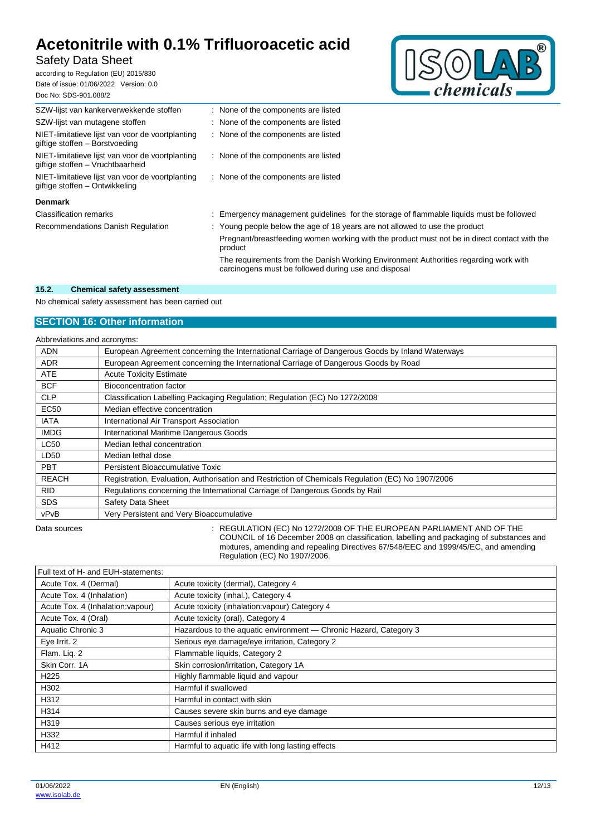# Safety Data Sheet

according to Regulation (EU) 2015/830 Date of issue: 01/06/2022 Version: 0.0 Doc No: SDS-901.088/2



| <u> סטט. ו זי טשט טאט ווי</u>                                                        |                                                                                                                                              |  |
|--------------------------------------------------------------------------------------|----------------------------------------------------------------------------------------------------------------------------------------------|--|
| SZW-lijst van kankerverwekkende stoffen                                              | : None of the components are listed                                                                                                          |  |
| SZW-lijst van mutagene stoffen                                                       | : None of the components are listed                                                                                                          |  |
| NIET-limitatieve lijst van voor de voortplanting<br>giftige stoffen - Borstvoeding   | None of the components are listed                                                                                                            |  |
| NIET-limitatieve lijst van voor de voortplanting<br>giftige stoffen - Vruchtbaarheid | None of the components are listed                                                                                                            |  |
| NIET-limitatieve lijst van voor de voortplanting<br>giftige stoffen – Ontwikkeling   | None of the components are listed                                                                                                            |  |
| <b>Denmark</b>                                                                       |                                                                                                                                              |  |
| <b>Classification remarks</b>                                                        | Emergency management guidelines for the storage of flammable liquids must be followed                                                        |  |
| Recommendations Danish Regulation                                                    | : Young people below the age of 18 years are not allowed to use the product                                                                  |  |
|                                                                                      | Pregnant/breastfeeding women working with the product must not be in direct contact with the<br>product                                      |  |
|                                                                                      | The requirements from the Danish Working Environment Authorities regarding work with<br>carcinogens must be followed during use and disposal |  |

### **15.2. Chemical safety assessment**

No chemical safety assessment has been carried out

# **SECTION 16: Other information**

| Abbreviations and acronyms: |                                                                                                   |  |
|-----------------------------|---------------------------------------------------------------------------------------------------|--|
| <b>ADN</b>                  | European Agreement concerning the International Carriage of Dangerous Goods by Inland Waterways   |  |
| <b>ADR</b>                  | European Agreement concerning the International Carriage of Dangerous Goods by Road               |  |
| <b>ATE</b>                  | <b>Acute Toxicity Estimate</b>                                                                    |  |
| <b>BCF</b>                  | Bioconcentration factor                                                                           |  |
| <b>CLP</b>                  | Classification Labelling Packaging Regulation; Regulation (EC) No 1272/2008                       |  |
| <b>EC50</b>                 | Median effective concentration                                                                    |  |
| <b>IATA</b>                 | International Air Transport Association                                                           |  |
| <b>IMDG</b>                 | International Maritime Dangerous Goods                                                            |  |
| LC50                        | Median lethal concentration                                                                       |  |
| LD50                        | Median lethal dose                                                                                |  |
| <b>PBT</b>                  | Persistent Bioaccumulative Toxic                                                                  |  |
| <b>REACH</b>                | Registration, Evaluation, Authorisation and Restriction of Chemicals Regulation (EC) No 1907/2006 |  |
| <b>RID</b>                  | Regulations concerning the International Carriage of Dangerous Goods by Rail                      |  |
| <b>SDS</b>                  | Safety Data Sheet                                                                                 |  |
| vPvB                        | Very Persistent and Very Bioaccumulative                                                          |  |

Data sources : REGULATION (EC) No 1272/2008 OF THE EUROPEAN PARLIAMENT AND OF THE COUNCIL of 16 December 2008 on classification, labelling and packaging of substances and mixtures, amending and repealing Directives 67/548/EEC and 1999/45/EC, and amending Regulation (EC) No 1907/2006.

| Full text of H- and EUH-statements: |                                                                   |
|-------------------------------------|-------------------------------------------------------------------|
| Acute Tox. 4 (Dermal)               | Acute toxicity (dermal), Category 4                               |
| Acute Tox. 4 (Inhalation)           | Acute toxicity (inhal.), Category 4                               |
| Acute Tox. 4 (Inhalation: vapour)   | Acute toxicity (inhalation: vapour) Category 4                    |
| Acute Tox. 4 (Oral)                 | Acute toxicity (oral), Category 4                                 |
| Aquatic Chronic 3                   | Hazardous to the aquatic environment - Chronic Hazard, Category 3 |
| Eye Irrit. 2                        | Serious eye damage/eye irritation, Category 2                     |
| Flam. Liq. 2                        | Flammable liquids, Category 2                                     |
| Skin Corr, 1A                       | Skin corrosion/irritation, Category 1A                            |
| H <sub>225</sub>                    | Highly flammable liquid and vapour                                |
| H302                                | Harmful if swallowed                                              |
| H312                                | Harmful in contact with skin                                      |
| H314                                | Causes severe skin burns and eye damage                           |
| H319                                | Causes serious eye irritation                                     |
| H332                                | Harmful if inhaled                                                |
| H412                                | Harmful to aquatic life with long lasting effects                 |